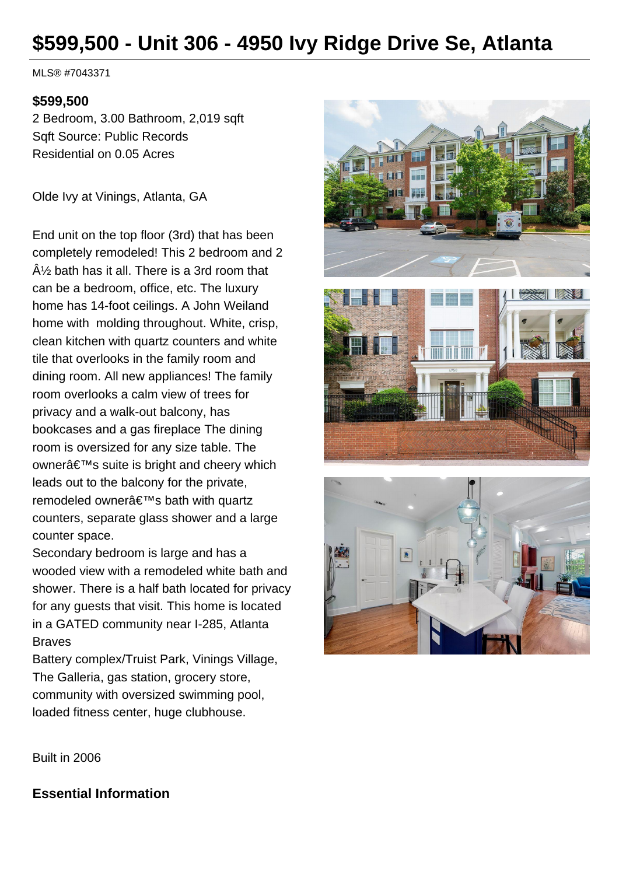# **\$599,500 - Unit 306 - 4950 Ivy Ridge Drive Se, Atlanta**

MLS® #7043371

#### **\$599,500**

2 Bedroom, 3.00 Bathroom, 2,019 sqft Sqft Source: Public Records Residential on 0.05 Acres

Olde Ivy at Vinings, Atlanta, GA

End unit on the top floor (3rd) that has been completely remodeled! This 2 bedroom and 2  $\hat{A}$  bath has it all. There is a 3rd room that can be a bedroom, office, etc. The luxury home has 14-foot ceilings. A John Weiland home with molding throughout. White, crisp, clean kitchen with quartz counters and white tile that overlooks in the family room and dining room. All new appliances! The family room overlooks a calm view of trees for privacy and a walk-out balcony, has bookcases and a gas fireplace The dining room is oversized for any size table. The owner's suite is bright and cheery which leads out to the balcony for the private, remodeled owner's bath with quartz counters, separate glass shower and a large counter space.

Secondary bedroom is large and has a wooded view with a remodeled white bath and shower. There is a half bath located for privacy for any guests that visit. This home is located in a GATED community near I-285, Atlanta Braves

Battery complex/Truist Park, Vinings Village, The Galleria, gas station, grocery store, community with oversized swimming pool, loaded fitness center, huge clubhouse.







Built in 2006

**Essential Information**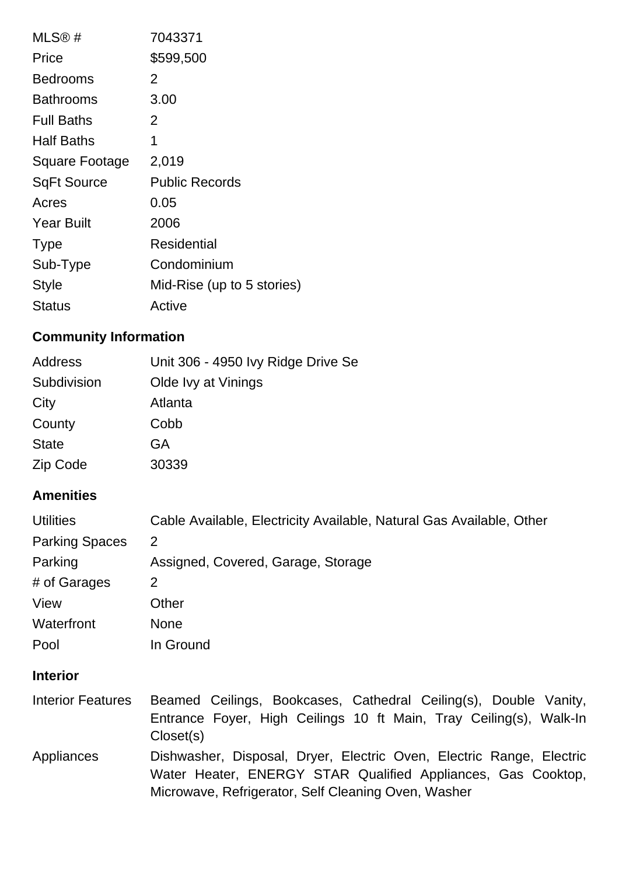| MLS@#              | 7043371                    |
|--------------------|----------------------------|
| Price              | \$599,500                  |
| <b>Bedrooms</b>    | 2                          |
| <b>Bathrooms</b>   | 3.00                       |
| <b>Full Baths</b>  | $\overline{2}$             |
| <b>Half Baths</b>  | 1                          |
| Square Footage     | 2,019                      |
| <b>SqFt Source</b> | <b>Public Records</b>      |
| Acres              | 0.05                       |
| <b>Year Built</b>  | 2006                       |
| <b>Type</b>        | Residential                |
| Sub-Type           | Condominium                |
| <b>Style</b>       | Mid-Rise (up to 5 stories) |
| Status             | Active                     |

## **Community Information**

| Address      | Unit 306 - 4950 Ivy Ridge Drive Se |
|--------------|------------------------------------|
| Subdivision  | Olde Ivy at Vinings                |
| City         | Atlanta                            |
| County       | Cobb                               |
| <b>State</b> | GA                                 |
| Zip Code     | 30339                              |

#### **Amenities**

| <b>Utilities</b>      | Cable Available, Electricity Available, Natural Gas Available, Other |
|-----------------------|----------------------------------------------------------------------|
| <b>Parking Spaces</b> | 2                                                                    |
| Parking               | Assigned, Covered, Garage, Storage                                   |
| # of Garages          | 2                                                                    |
| View                  | Other                                                                |
| Waterfront            | <b>None</b>                                                          |
| Pool                  | In Ground                                                            |
|                       |                                                                      |

#### **Interior**

Interior Features Beamed Ceilings, Bookcases, Cathedral Ceiling(s), Double Vanity, Entrance Foyer, High Ceilings 10 ft Main, Tray Ceiling(s), Walk-In Closet(s) Appliances Dishwasher, Disposal, Dryer, Electric Oven, Electric Range, Electric Water Heater, ENERGY STAR Qualified Appliances, Gas Cooktop, Microwave, Refrigerator, Self Cleaning Oven, Washer